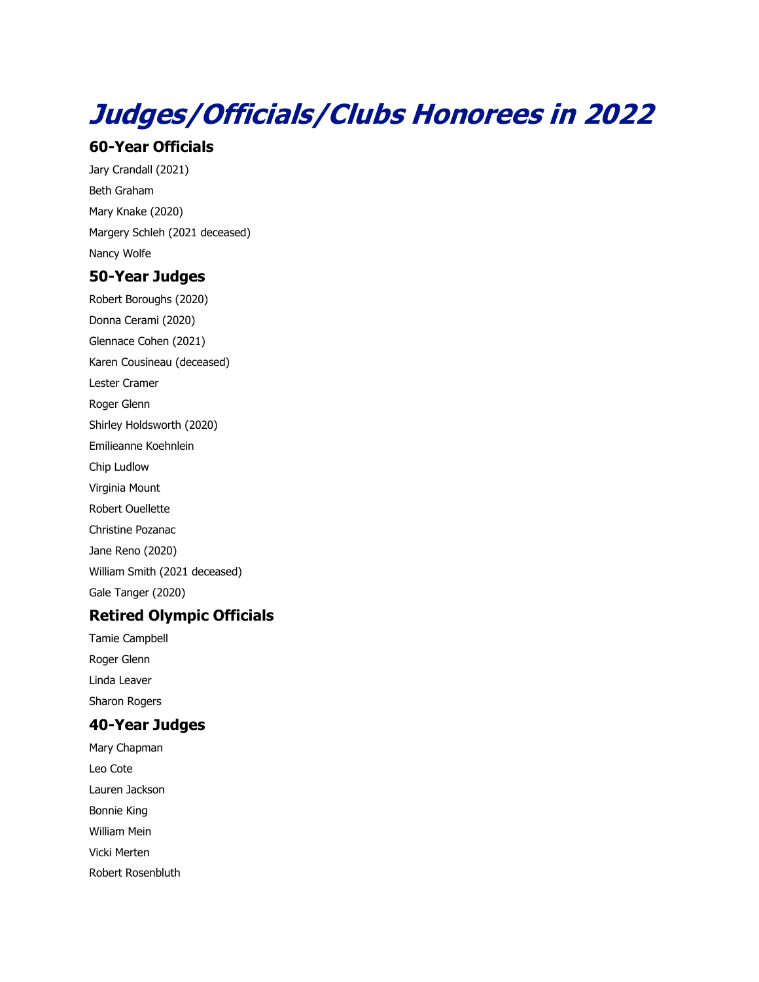# **Judges/Officials/Clubs Honorees in 2022**

## **60-Year Officials**

Jary Crandall (2021) Beth Graham Mary Knake (2020) Margery Schleh (2021 deceased) Nancy Wolfe

# **50-Year Judges**

Robert Boroughs (2020) Donna Cerami (2020) Glennace Cohen (2021) Karen Cousineau (deceased) Lester Cramer Roger Glenn Shirley Holdsworth (2020) Emilieanne Koehnlein Chip Ludlow Virginia Mount Robert Ouellette Christine Pozanac Jane Reno (2020) William Smith (2021 deceased) Gale Tanger (2020)

## **Retired Olympic Officials**

Tamie Campbell Roger Glenn Linda Leaver Sharon Rogers

# **40-Year Judges**

Mary Chapman Leo Cote Lauren Jackson Bonnie King William Mein Vicki Merten Robert Rosenbluth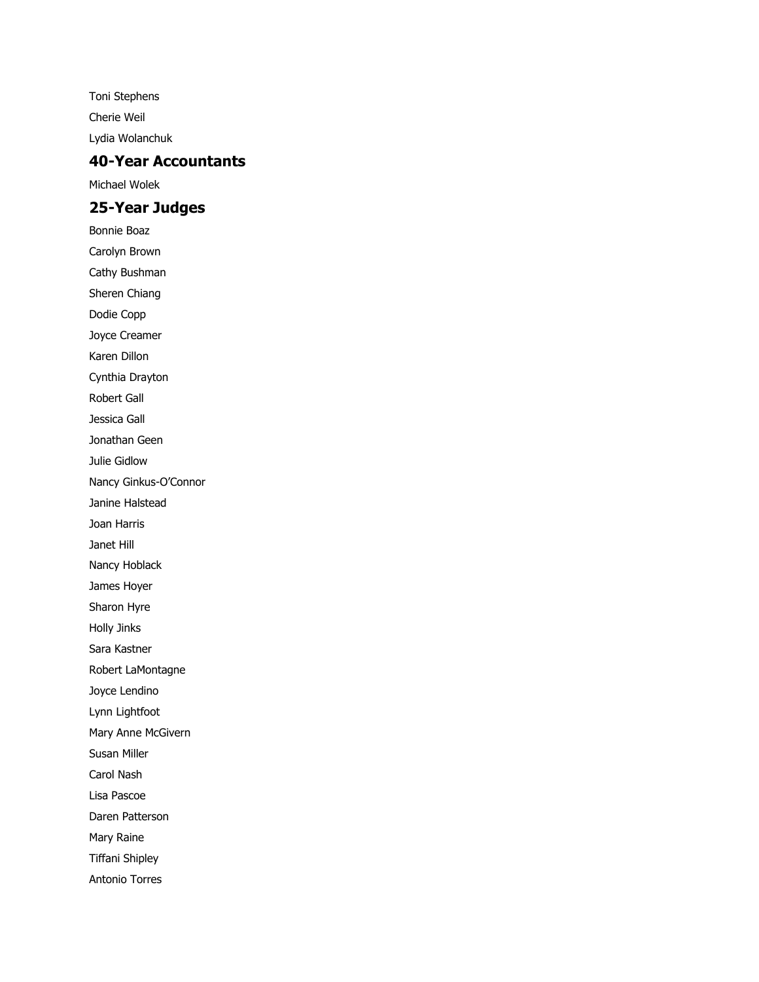Toni Stephens Cherie Weil Lydia Wolanchuk

#### **40-Year Accountants**

Michael Wolek

## **25-Year Judges**

Bonnie Boaz Carolyn Brown Cathy Bushman Sheren Chiang Dodie Copp Joyce Creamer Karen Dillon Cynthia Drayton Robert Gall Jessica Gall Jonathan Geen Julie Gidlow Nancy Ginkus-O'Connor Janine Halstead Joan Harris Janet Hill Nancy Hoblack James Hoyer Sharon Hyre Holly Jinks Sara Kastner Robert LaMontagne Joyce Lendino Lynn Lightfoot Mary Anne McGivern Susan Miller Carol Nash Lisa Pascoe Daren Patterson Mary Raine Tiffani Shipley Antonio Torres